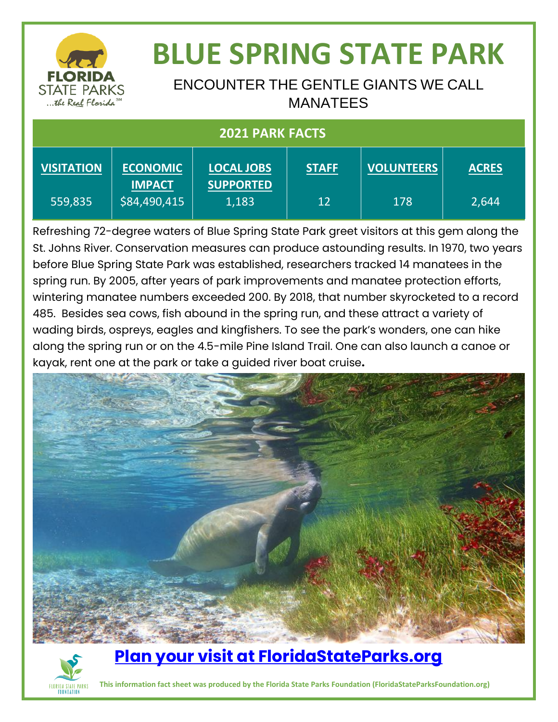

# **BLUE SPRING STATE PARK**

#### ENCOUNTER THE GENTLE GIANTS WE CALL MANATEES

| <b>2021 PARK FACTS</b> |                                  |                                       |              |                   |              |
|------------------------|----------------------------------|---------------------------------------|--------------|-------------------|--------------|
| <b>VISITATION</b>      | <b>ECONOMIC</b><br><b>IMPACT</b> | <b>LOCAL JOBS</b><br><b>SUPPORTED</b> | <b>STAFF</b> | <b>VOLUNTEERS</b> | <b>ACRES</b> |
| 559,835                | \$84,490,415                     | 1,183                                 | 12           | 178               | 2,644        |

Refreshing 72-degree waters of Blue Spring State Park greet visitors at this gem along the St. Johns River. Conservation measures can produce astounding results. In 1970, two years before Blue Spring State Park was established, researchers tracked 14 manatees in the spring run. By 2005, after years of park improvements and manatee protection efforts, wintering manatee numbers exceeded 200. By 2018, that number skyrocketed to a record 485. Besides sea cows, fish abound in the spring run, and these attract a variety of wading birds, ospreys, eagles and kingfishers. To see the park's wonders, one can hike along the spring run or on the 4.5-mile Pine Island Trail. One can also launch a canoe or kayak, rent one at the park or take a guided river boat cruise**.** 





### **[Plan your visit at FloridaStateParks.org](http://www.floridastateparks.org/)**

**IDA STATE PARKS** This information fact sheet was produced by the Florida State Parks Foundation (FloridaStateParksFoundation.org)